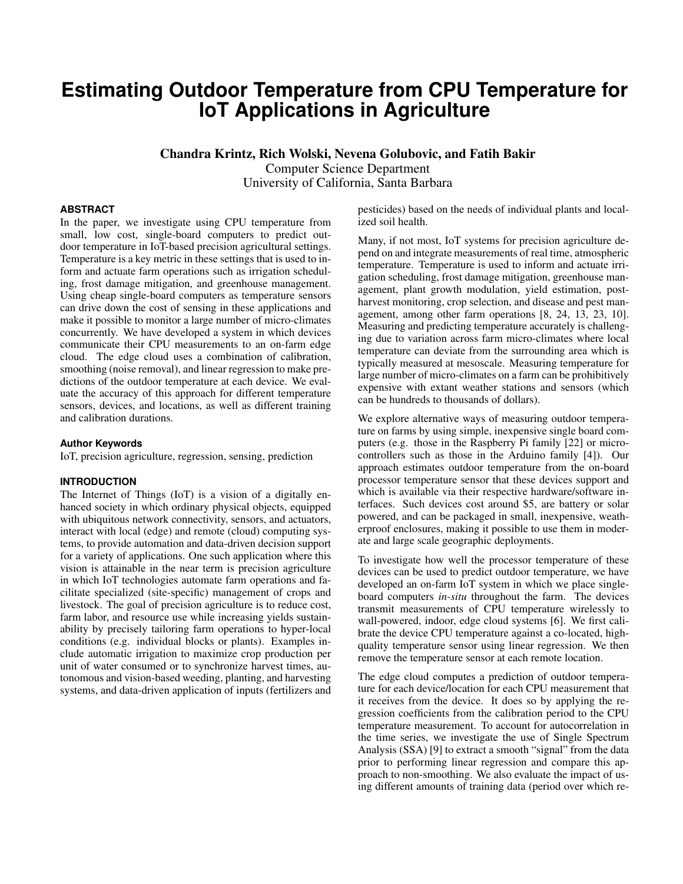# **Estimating Outdoor Temperature from CPU Temperature for IoT Applications in Agriculture**

Chandra Krintz, Rich Wolski, Nevena Golubovic, and Fatih Bakir Computer Science Department University of California, Santa Barbara

# **ABSTRACT**

In the paper, we investigate using CPU temperature from small, low cost, single-board computers to predict outdoor temperature in IoT-based precision agricultural settings. Temperature is a key metric in these settings that is used to inform and actuate farm operations such as irrigation scheduling, frost damage mitigation, and greenhouse management. Using cheap single-board computers as temperature sensors can drive down the cost of sensing in these applications and make it possible to monitor a large number of micro-climates concurrently. We have developed a system in which devices communicate their CPU measurements to an on-farm edge cloud. The edge cloud uses a combination of calibration, smoothing (noise removal), and linear regression to make predictions of the outdoor temperature at each device. We evaluate the accuracy of this approach for different temperature sensors, devices, and locations, as well as different training and calibration durations.

## **Author Keywords**

IoT, precision agriculture, regression, sensing, prediction

## **INTRODUCTION**

The Internet of Things (IoT) is a vision of a digitally enhanced society in which ordinary physical objects, equipped with ubiquitous network connectivity, sensors, and actuators, interact with local (edge) and remote (cloud) computing systems, to provide automation and data-driven decision support for a variety of applications. One such application where this vision is attainable in the near term is precision agriculture in which IoT technologies automate farm operations and facilitate specialized (site-specific) management of crops and livestock. The goal of precision agriculture is to reduce cost, farm labor, and resource use while increasing yields sustainability by precisely tailoring farm operations to hyper-local conditions (e.g. individual blocks or plants). Examples include automatic irrigation to maximize crop production per unit of water consumed or to synchronize harvest times, autonomous and vision-based weeding, planting, and harvesting systems, and data-driven application of inputs (fertilizers and

pesticides) based on the needs of individual plants and localized soil health.

Many, if not most, IoT systems for precision agriculture depend on and integrate measurements of real time, atmospheric temperature. Temperature is used to inform and actuate irrigation scheduling, frost damage mitigation, greenhouse management, plant growth modulation, yield estimation, postharvest monitoring, crop selection, and disease and pest management, among other farm operations [\[8,](#page-7-0) [24,](#page-7-1) [13,](#page-7-2) [23,](#page-7-3) [10\]](#page-7-4). Measuring and predicting temperature accurately is challenging due to variation across farm micro-climates where local temperature can deviate from the surrounding area which is typically measured at mesoscale. Measuring temperature for large number of micro-climates on a farm can be prohibitively expensive with extant weather stations and sensors (which can be hundreds to thousands of dollars).

We explore alternative ways of measuring outdoor temperature on farms by using simple, inexpensive single board computers (e.g. those in the Raspberry Pi family [\[22\]](#page-7-5) or microcontrollers such as those in the Arduino family [\[4\]](#page-6-0)). Our approach estimates outdoor temperature from the on-board processor temperature sensor that these devices support and which is available via their respective hardware/software interfaces. Such devices cost around \$5, are battery or solar powered, and can be packaged in small, inexpensive, weatherproof enclosures, making it possible to use them in moderate and large scale geographic deployments.

To investigate how well the processor temperature of these devices can be used to predict outdoor temperature, we have developed an on-farm IoT system in which we place singleboard computers *in-situ* throughout the farm. The devices transmit measurements of CPU temperature wirelessly to wall-powered, indoor, edge cloud systems [\[6\]](#page-6-1). We first calibrate the device CPU temperature against a co-located, highquality temperature sensor using linear regression. We then remove the temperature sensor at each remote location.

The edge cloud computes a prediction of outdoor temperature for each device/location for each CPU measurement that it receives from the device. It does so by applying the regression coefficients from the calibration period to the CPU temperature measurement. To account for autocorrelation in the time series, we investigate the use of Single Spectrum Analysis (SSA) [\[9\]](#page-7-6) to extract a smooth "signal" from the data prior to performing linear regression and compare this approach to non-smoothing. We also evaluate the impact of using different amounts of training data (period over which re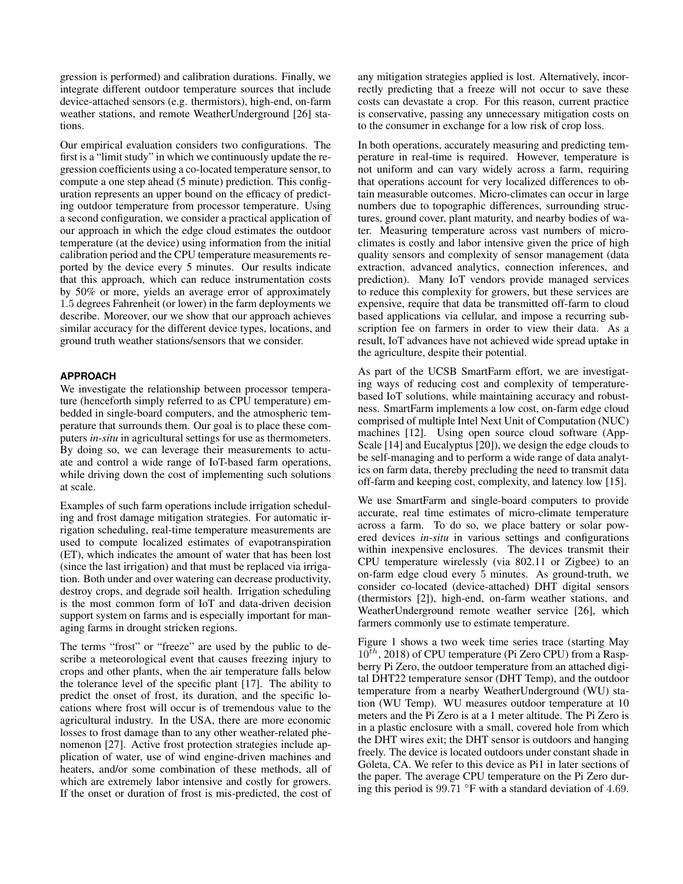gression is performed) and calibration durations. Finally, we integrate different outdoor temperature sources that include device-attached sensors (e.g. thermistors), high-end, on-farm weather stations, and remote WeatherUnderground [\[26\]](#page-7-7) stations.

Our empirical evaluation considers two configurations. The first is a "limit study" in which we continuously update the regression coefficients using a co-located temperature sensor, to compute a one step ahead (5 minute) prediction. This configuration represents an upper bound on the efficacy of predicting outdoor temperature from processor temperature. Using a second configuration, we consider a practical application of our approach in which the edge cloud estimates the outdoor temperature (at the device) using information from the initial calibration period and the CPU temperature measurements reported by the device every 5 minutes. Our results indicate that this approach, which can reduce instrumentation costs by 50% or more, yields an average error of approximately 1.5 degrees Fahrenheit (or lower) in the farm deployments we describe. Moreover, our we show that our approach achieves similar accuracy for the different device types, locations, and ground truth weather stations/sensors that we consider.

# **APPROACH**

We investigate the relationship between processor temperature (henceforth simply referred to as CPU temperature) embedded in single-board computers, and the atmospheric temperature that surrounds them. Our goal is to place these computers *in-situ* in agricultural settings for use as thermometers. By doing so, we can leverage their measurements to actuate and control a wide range of IoT-based farm operations, while driving down the cost of implementing such solutions at scale.

Examples of such farm operations include irrigation scheduling and frost damage mitigation strategies. For automatic irrigation scheduling, real-time temperature measurements are used to compute localized estimates of evapotranspiration (ET), which indicates the amount of water that has been lost (since the last irrigation) and that must be replaced via irrigation. Both under and over watering can decrease productivity, destroy crops, and degrade soil health. Irrigation scheduling is the most common form of IoT and data-driven decision support system on farms and is especially important for managing farms in drought stricken regions.

The terms "frost" or "freeze" are used by the public to describe a meteorological event that causes freezing injury to crops and other plants, when the air temperature falls below the tolerance level of the specific plant [\[17\]](#page-7-8). The ability to predict the onset of frost, its duration, and the specific locations where frost will occur is of tremendous value to the agricultural industry. In the USA, there are more economic losses to frost damage than to any other weather-related phenomenon [\[27\]](#page-7-9). Active frost protection strategies include application of water, use of wind engine-driven machines and heaters, and/or some combination of these methods, all of which are extremely labor intensive and costly for growers. If the onset or duration of frost is mis-predicted, the cost of any mitigation strategies applied is lost. Alternatively, incorrectly predicting that a freeze will not occur to save these costs can devastate a crop. For this reason, current practice is conservative, passing any unnecessary mitigation costs on to the consumer in exchange for a low risk of crop loss.

In both operations, accurately measuring and predicting temperature in real-time is required. However, temperature is not uniform and can vary widely across a farm, requiring that operations account for very localized differences to obtain measurable outcomes. Micro-climates can occur in large numbers due to topographic differences, surrounding structures, ground cover, plant maturity, and nearby bodies of water. Measuring temperature across vast numbers of microclimates is costly and labor intensive given the price of high quality sensors and complexity of sensor management (data extraction, advanced analytics, connection inferences, and prediction). Many IoT vendors provide managed services to reduce this complexity for growers, but these services are expensive, require that data be transmitted off-farm to cloud based applications via cellular, and impose a recurring subscription fee on farmers in order to view their data. As a result, IoT advances have not achieved wide spread uptake in the agriculture, despite their potential.

As part of the UCSB SmartFarm effort, we are investigating ways of reducing cost and complexity of temperaturebased IoT solutions, while maintaining accuracy and robustness. SmartFarm implements a low cost, on-farm edge cloud comprised of multiple Intel Next Unit of Computation (NUC) machines [\[12\]](#page-7-10). Using open source cloud software (App-Scale [\[14\]](#page-7-11) and Eucalyptus [\[20\]](#page-7-12)), we design the edge clouds to be self-managing and to perform a wide range of data analytics on farm data, thereby precluding the need to transmit data off-farm and keeping cost, complexity, and latency low [\[15\]](#page-7-13).

We use SmartFarm and single-board computers to provide accurate, real time estimates of micro-climate temperature across a farm. To do so, we place battery or solar powered devices *in-situ* in various settings and configurations within inexpensive enclosures. The devices transmit their CPU temperature wirelessly (via 802.11 or Zigbee) to an on-farm edge cloud every 5 minutes. As ground-truth, we consider co-located (device-attached) DHT digital sensors (thermistors [\[2\]](#page-6-2)), high-end, on-farm weather stations, and WeatherUnderground remote weather service [\[26\]](#page-7-7), which farmers commonly use to estimate temperature.

Figure [1](#page-2-0) shows a two week time series trace (starting May  $10^{th}$ , 2018) of CPU temperature (Pi Zero CPU) from a Raspberry Pi Zero, the outdoor temperature from an attached digital DHT22 temperature sensor (DHT Temp), and the outdoor temperature from a nearby WeatherUnderground (WU) station (WU Temp). WU measures outdoor temperature at 10 meters and the Pi Zero is at a 1 meter altitude. The Pi Zero is in a plastic enclosure with a small, covered hole from which the DHT wires exit; the DHT sensor is outdoors and hanging freely. The device is located outdoors under constant shade in Goleta, CA. We refer to this device as Pi1 in later sections of the paper. The average CPU temperature on the Pi Zero during this period is  $99.71 \text{°F}$  with a standard deviation of 4.69.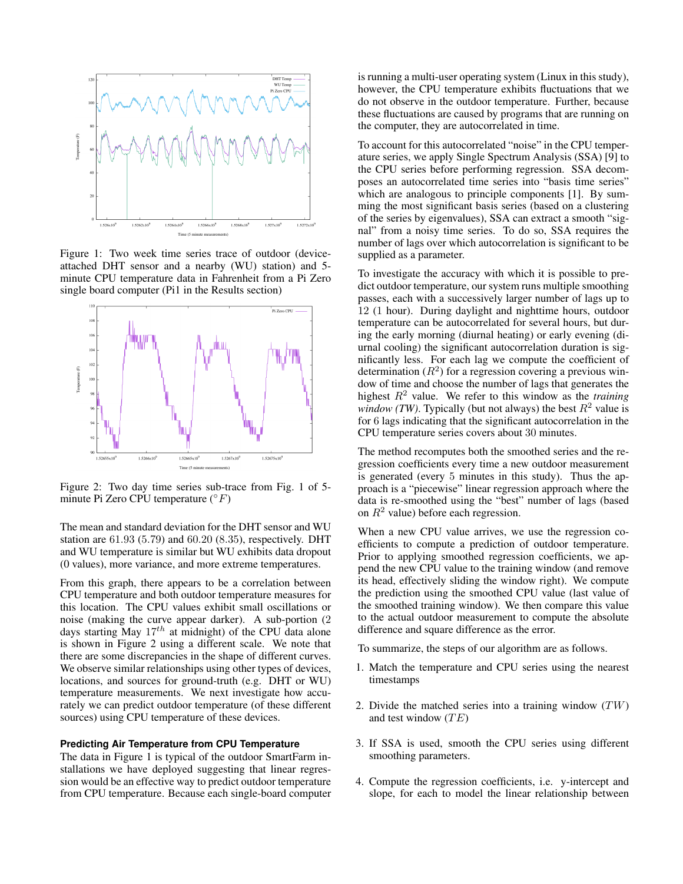<span id="page-2-0"></span>

Figure 1: Two week time series trace of outdoor (deviceattached DHT sensor and a nearby (WU) station) and 5 minute CPU temperature data in Fahrenheit from a Pi Zero single board computer (Pi1 in the Results section)

<span id="page-2-1"></span>

Figure 2: Two day time series sub-trace from Fig. [1](#page-2-0) of 5 minute Pi Zero CPU temperature  $({}^{\circ}F)$ 

The mean and standard deviation for the DHT sensor and WU station are 61.93 (5.79) and 60.20 (8.35), respectively. DHT and WU temperature is similar but WU exhibits data dropout (0 values), more variance, and more extreme temperatures.

From this graph, there appears to be a correlation between CPU temperature and both outdoor temperature measures for this location. The CPU values exhibit small oscillations or noise (making the curve appear darker). A sub-portion (2 days starting May  $17^{th}$  at midnight) of the CPU data alone is shown in Figure [2](#page-2-1) using a different scale. We note that there are some discrepancies in the shape of different curves. We observe similar relationships using other types of devices, locations, and sources for ground-truth (e.g. DHT or WU) temperature measurements. We next investigate how accurately we can predict outdoor temperature (of these different sources) using CPU temperature of these devices.

#### **Predicting Air Temperature from CPU Temperature**

The data in Figure [1](#page-2-0) is typical of the outdoor SmartFarm installations we have deployed suggesting that linear regression would be an effective way to predict outdoor temperature from CPU temperature. Because each single-board computer is running a multi-user operating system (Linux in this study), however, the CPU temperature exhibits fluctuations that we do not observe in the outdoor temperature. Further, because these fluctuations are caused by programs that are running on the computer, they are autocorrelated in time.

To account for this autocorrelated "noise" in the CPU temperature series, we apply Single Spectrum Analysis (SSA) [\[9\]](#page-7-6) to the CPU series before performing regression. SSA decomposes an autocorrelated time series into "basis time series" which are analogous to principle components [\[1\]](#page-6-3). By summing the most significant basis series (based on a clustering of the series by eigenvalues), SSA can extract a smooth "signal" from a noisy time series. To do so, SSA requires the number of lags over which autocorrelation is significant to be supplied as a parameter.

To investigate the accuracy with which it is possible to predict outdoor temperature, our system runs multiple smoothing passes, each with a successively larger number of lags up to 12 (1 hour). During daylight and nighttime hours, outdoor temperature can be autocorrelated for several hours, but during the early morning (diurnal heating) or early evening (diurnal cooling) the significant autocorrelation duration is significantly less. For each lag we compute the coefficient of determination  $(R^2)$  for a regression covering a previous window of time and choose the number of lags that generates the highest  $R^2$  value. We refer to this window as the *training window (TW)*. Typically (but not always) the best  $R^2$  value is for 6 lags indicating that the significant autocorrelation in the CPU temperature series covers about 30 minutes.

The method recomputes both the smoothed series and the regression coefficients every time a new outdoor measurement is generated (every 5 minutes in this study). Thus the approach is a "piecewise" linear regression approach where the data is re-smoothed using the "best" number of lags (based on  $R^2$  value) before each regression.

When a new CPU value arrives, we use the regression coefficients to compute a prediction of outdoor temperature. Prior to applying smoothed regression coefficients, we append the new CPU value to the training window (and remove its head, effectively sliding the window right). We compute the prediction using the smoothed CPU value (last value of the smoothed training window). We then compare this value to the actual outdoor measurement to compute the absolute difference and square difference as the error.

To summarize, the steps of our algorithm are as follows.

- 1. Match the temperature and CPU series using the nearest timestamps
- 2. Divide the matched series into a training window  $(TW)$ and test window  $(TE)$
- 3. If SSA is used, smooth the CPU series using different smoothing parameters.
- 4. Compute the regression coefficients, i.e. y-intercept and slope, for each to model the linear relationship between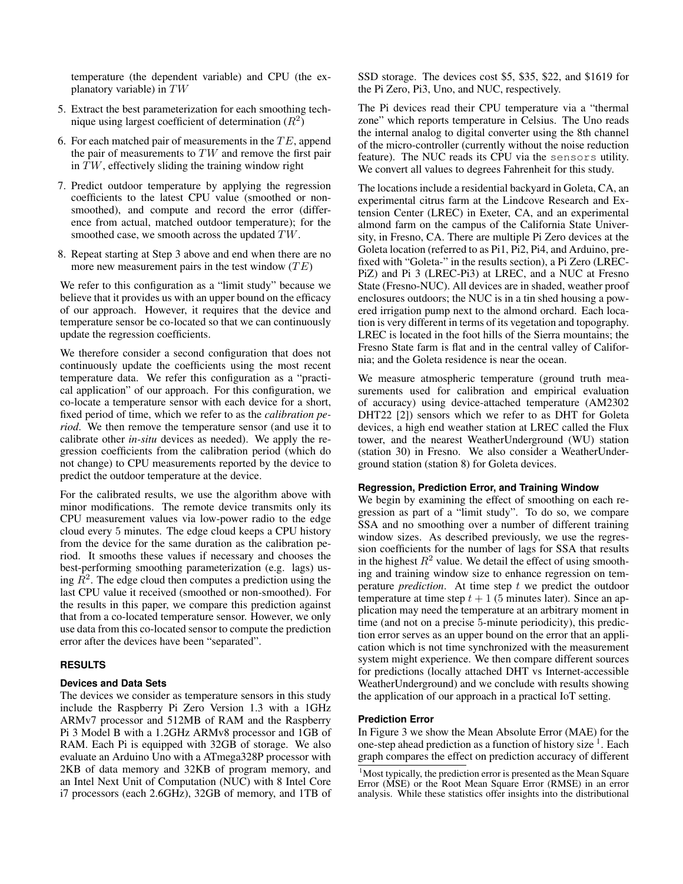temperature (the dependent variable) and CPU (the explanatory variable) in  $TW$ 

- 5. Extract the best parameterization for each smoothing technique using largest coefficient of determination  $(R^2)$
- 6. For each matched pair of measurements in the  $TE$ , append the pair of measurements to  $TW$  and remove the first pair in TW, effectively sliding the training window right
- 7. Predict outdoor temperature by applying the regression coefficients to the latest CPU value (smoothed or nonsmoothed), and compute and record the error (difference from actual, matched outdoor temperature); for the smoothed case, we smooth across the updated TW.
- 8. Repeat starting at Step 3 above and end when there are no more new measurement pairs in the test window  $(TE)$

We refer to this configuration as a "limit study" because we believe that it provides us with an upper bound on the efficacy of our approach. However, it requires that the device and temperature sensor be co-located so that we can continuously update the regression coefficients.

We therefore consider a second configuration that does not continuously update the coefficients using the most recent temperature data. We refer this configuration as a "practical application" of our approach. For this configuration, we co-locate a temperature sensor with each device for a short, fixed period of time, which we refer to as the *calibration period*. We then remove the temperature sensor (and use it to calibrate other *in-situ* devices as needed). We apply the regression coefficients from the calibration period (which do not change) to CPU measurements reported by the device to predict the outdoor temperature at the device.

For the calibrated results, we use the algorithm above with minor modifications. The remote device transmits only its CPU measurement values via low-power radio to the edge cloud every 5 minutes. The edge cloud keeps a CPU history from the device for the same duration as the calibration period. It smooths these values if necessary and chooses the best-performing smoothing parameterization (e.g. lags) using  $\tilde{R}^2$ . The edge cloud then computes a prediction using the last CPU value it received (smoothed or non-smoothed). For the results in this paper, we compare this prediction against that from a co-located temperature sensor. However, we only use data from this co-located sensor to compute the prediction error after the devices have been "separated".

## **RESULTS**

#### **Devices and Data Sets**

The devices we consider as temperature sensors in this study include the Raspberry Pi Zero Version 1.3 with a 1GHz ARMv7 processor and 512MB of RAM and the Raspberry Pi 3 Model B with a 1.2GHz ARMv8 processor and 1GB of RAM. Each Pi is equipped with 32GB of storage. We also evaluate an Arduino Uno with a ATmega328P processor with 2KB of data memory and 32KB of program memory, and an Intel Next Unit of Computation (NUC) with 8 Intel Core i7 processors (each 2.6GHz), 32GB of memory, and 1TB of SSD storage. The devices cost \$5, \$35, \$22, and \$1619 for the Pi Zero, Pi3, Uno, and NUC, respectively.

The Pi devices read their CPU temperature via a "thermal zone" which reports temperature in Celsius. The Uno reads the internal analog to digital converter using the 8th channel of the micro-controller (currently without the noise reduction feature). The NUC reads its CPU via the sensors utility. We convert all values to degrees Fahrenheit for this study.

The locations include a residential backyard in Goleta, CA, an experimental citrus farm at the Lindcove Research and Extension Center (LREC) in Exeter, CA, and an experimental almond farm on the campus of the California State University, in Fresno, CA. There are multiple Pi Zero devices at the Goleta location (referred to as Pi1, Pi2, Pi4, and Arduino, prefixed with "Goleta-" in the results section), a Pi Zero (LREC-PiZ) and Pi 3 (LREC-Pi3) at LREC, and a NUC at Fresno State (Fresno-NUC). All devices are in shaded, weather proof enclosures outdoors; the NUC is in a tin shed housing a powered irrigation pump next to the almond orchard. Each location is very different in terms of its vegetation and topography. LREC is located in the foot hills of the Sierra mountains; the Fresno State farm is flat and in the central valley of California; and the Goleta residence is near the ocean.

We measure atmospheric temperature (ground truth measurements used for calibration and empirical evaluation of accuracy) using device-attached temperature (AM2302 DHT22 [\[2\]](#page-6-2)) sensors which we refer to as DHT for Goleta devices, a high end weather station at LREC called the Flux tower, and the nearest WeatherUnderground (WU) station (station 30) in Fresno. We also consider a WeatherUnderground station (station 8) for Goleta devices.

#### **Regression, Prediction Error, and Training Window**

We begin by examining the effect of smoothing on each regression as part of a "limit study". To do so, we compare SSA and no smoothing over a number of different training window sizes. As described previously, we use the regression coefficients for the number of lags for SSA that results in the highest  $R^2$  value. We detail the effect of using smoothing and training window size to enhance regression on temperature *prediction*. At time step t we predict the outdoor temperature at time step  $t + 1$  (5 minutes later). Since an application may need the temperature at an arbitrary moment in time (and not on a precise 5-minute periodicity), this prediction error serves as an upper bound on the error that an application which is not time synchronized with the measurement system might experience. We then compare different sources for predictions (locally attached DHT vs Internet-accessible WeatherUnderground) and we conclude with results showing the application of our approach in a practical IoT setting.

## **Prediction Error**

In Figure [3](#page-4-0) we show the Mean Absolute Error (MAE) for the one-step ahead prediction as a function of history size <sup>[1](#page-3-0)</sup>. Each graph compares the effect on prediction accuracy of different

<span id="page-3-0"></span> $1$ Most typically, the prediction error is presented as the Mean Square Error (MSE) or the Root Mean Square Error (RMSE) in an error analysis. While these statistics offer insights into the distributional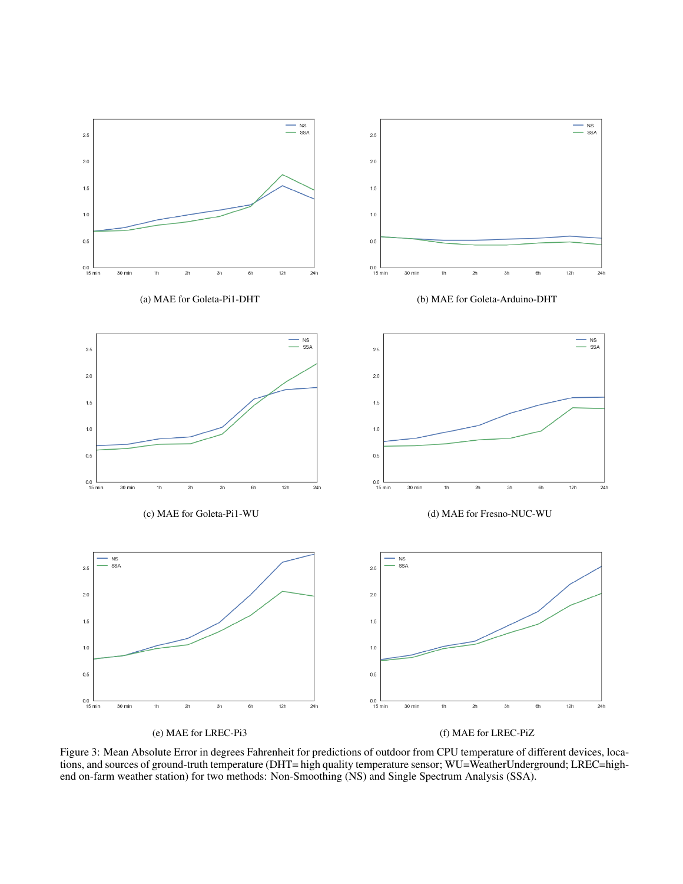<span id="page-4-0"></span>

Figure 3: Mean Absolute Error in degrees Fahrenheit for predictions of outdoor from CPU temperature of different devices, locations, and sources of ground-truth temperature (DHT= high quality temperature sensor; WU=WeatherUnderground; LREC=highend on-farm weather station) for two methods: Non-Smoothing (NS) and Single Spectrum Analysis (SSA).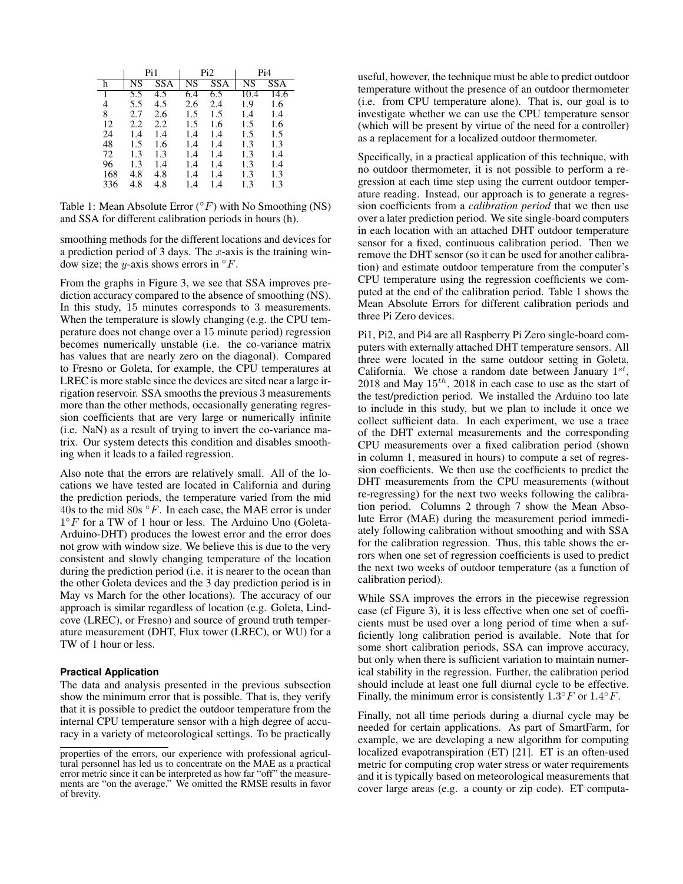<span id="page-5-0"></span>

|     | Pi1         |     | Pi2         |     | Pi4         |      |
|-----|-------------|-----|-------------|-----|-------------|------|
| h   | $_{\rm NS}$ | SSA | $_{\rm NS}$ | SSA | $_{\rm NS}$ | SSA  |
|     | 5.5         | 4.5 | 6.4         | 6.5 | 10.4        | 14.6 |
| 4   | 5.5         | 4.5 | 2.6         | 2.4 | 1.9         | 1.6  |
| 8   | 2.7         | 2.6 | 1.5         | 1.5 | 1.4         | 1.4  |
| 12  | 2.2         | 2.2 | 1.5         | 1.6 | 1.5         | 1.6  |
| 24  | 1.4         | 1.4 | 1.4         | 1.4 | 1.5         | 1.5  |
| 48  | 1.5         | 1.6 | 1.4         | 1.4 | 1.3         | 1.3  |
| 72  | 1.3         | 1.3 | 1.4         | 1.4 | 1.3         | 1.4  |
| 96  | 1.3         | 1.4 | 1.4         | 1.4 | 1.3         | 1.4  |
| 168 | 4.8         | 4.8 | 1.4         | 1.4 | 1.3         | 1.3  |
| 336 | 4.8         | 4.8 | 4           | 1.4 | 1.3         | 1.3  |

Table 1: Mean Absolute Error ( $\degree$ F) with No Smoothing (NS) and SSA for different calibration periods in hours (h).

smoothing methods for the different locations and devices for a prediction period of 3 days. The  $x$ -axis is the training window size; the y-axis shows errors in  $\circ$ F.

From the graphs in Figure [3,](#page-4-0) we see that SSA improves prediction accuracy compared to the absence of smoothing (NS). In this study, 15 minutes corresponds to 3 measurements. When the temperature is slowly changing (e.g. the CPU temperature does not change over a 15 minute period) regression becomes numerically unstable (i.e. the co-variance matrix has values that are nearly zero on the diagonal). Compared to Fresno or Goleta, for example, the CPU temperatures at LREC is more stable since the devices are sited near a large irrigation reservoir. SSA smooths the previous 3 measurements more than the other methods, occasionally generating regression coefficients that are very large or numerically infinite (i.e. NaN) as a result of trying to invert the co-variance matrix. Our system detects this condition and disables smoothing when it leads to a failed regression.

Also note that the errors are relatively small. All of the locations we have tested are located in California and during the prediction periods, the temperature varied from the mid 40s to the mid  $80s °F$ . In each case, the MAE error is under 1°F for a TW of 1 hour or less. The Arduino Uno (Goleta-Arduino-DHT) produces the lowest error and the error does not grow with window size. We believe this is due to the very consistent and slowly changing temperature of the location during the prediction period (i.e. it is nearer to the ocean than the other Goleta devices and the 3 day prediction period is in May vs March for the other locations). The accuracy of our approach is similar regardless of location (e.g. Goleta, Lindcove (LREC), or Fresno) and source of ground truth temperature measurement (DHT, Flux tower (LREC), or WU) for a TW of 1 hour or less.

## **Practical Application**

The data and analysis presented in the previous subsection show the minimum error that is possible. That is, they verify that it is possible to predict the outdoor temperature from the internal CPU temperature sensor with a high degree of accuracy in a variety of meteorological settings. To be practically

useful, however, the technique must be able to predict outdoor temperature without the presence of an outdoor thermometer (i.e. from CPU temperature alone). That is, our goal is to investigate whether we can use the CPU temperature sensor (which will be present by virtue of the need for a controller) as a replacement for a localized outdoor thermometer.

Specifically, in a practical application of this technique, with no outdoor thermometer, it is not possible to perform a regression at each time step using the current outdoor temperature reading. Instead, our approach is to generate a regression coefficients from a *calibration period* that we then use over a later prediction period. We site single-board computers in each location with an attached DHT outdoor temperature sensor for a fixed, continuous calibration period. Then we remove the DHT sensor (so it can be used for another calibration) and estimate outdoor temperature from the computer's CPU temperature using the regression coefficients we computed at the end of the calibration period. Table [1](#page-5-0) shows the Mean Absolute Errors for different calibration periods and three Pi Zero devices.

Pi1, Pi2, and Pi4 are all Raspberry Pi Zero single-board computers with externally attached DHT temperature sensors. All three were located in the same outdoor setting in Goleta, California. We chose a random date between January  $1^{st}$ , 2018 and May  $15^{th}$ , 2018 in each case to use as the start of the test/prediction period. We installed the Arduino too late to include in this study, but we plan to include it once we collect sufficient data. In each experiment, we use a trace of the DHT external measurements and the corresponding CPU measurements over a fixed calibration period (shown in column 1, measured in hours) to compute a set of regression coefficients. We then use the coefficients to predict the DHT measurements from the CPU measurements (without re-regressing) for the next two weeks following the calibration period. Columns 2 through 7 show the Mean Absolute Error (MAE) during the measurement period immediately following calibration without smoothing and with SSA for the calibration regression. Thus, this table shows the errors when one set of regression coefficients is used to predict the next two weeks of outdoor temperature (as a function of calibration period).

While SSA improves the errors in the piecewise regression case (cf Figure [3\)](#page-4-0), it is less effective when one set of coefficients must be used over a long period of time when a sufficiently long calibration period is available. Note that for some short calibration periods, SSA can improve accuracy, but only when there is sufficient variation to maintain numerical stability in the regression. Further, the calibration period should include at least one full diurnal cycle to be effective. Finally, the minimum error is consistently  $1.3^{\circ}F$  or  $1.4^{\circ}F$ .

Finally, not all time periods during a diurnal cycle may be needed for certain applications. As part of SmartFarm, for example, we are developing a new algorithm for computing localized evapotranspiration (ET) [\[21\]](#page-7-14). ET is an often-used metric for computing crop water stress or water requirements and it is typically based on meteorological measurements that cover large areas (e.g. a county or zip code). ET computa-

properties of the errors, our experience with professional agricultural personnel has led us to concentrate on the MAE as a practical error metric since it can be interpreted as how far "off" the measurements are "on the average." We omitted the RMSE results in favor of brevity.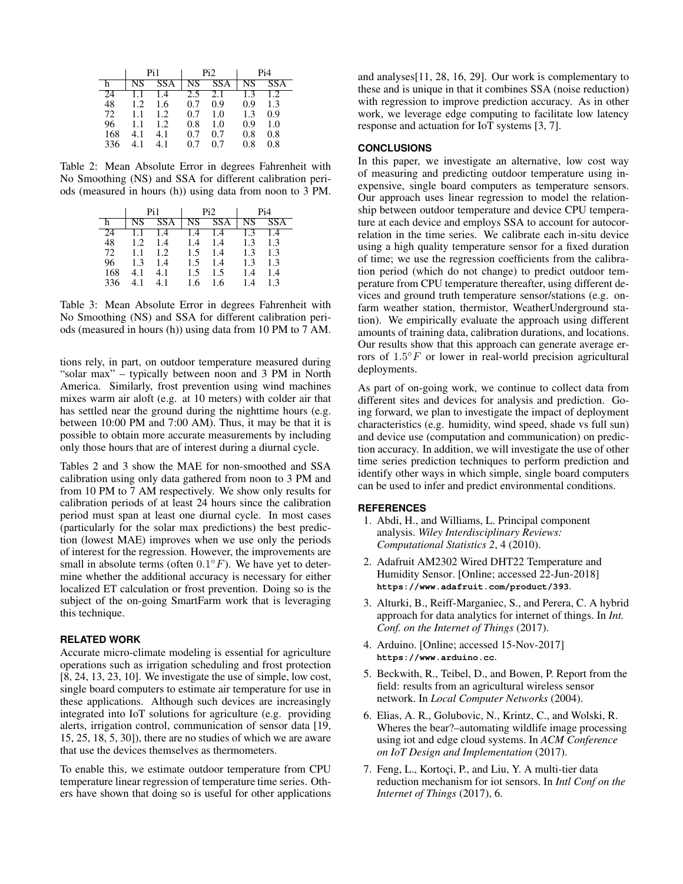<span id="page-6-4"></span>

|     | Pi1 |      | Pi2         |     | Pi4         |      |
|-----|-----|------|-------------|-----|-------------|------|
|     |     | SSA  | $_{\rm NS}$ | SSA | $_{\rm NS}$ | SSA  |
| 24  | 1.1 | 1.4  | 2.5         | 2.1 | 1.3         | 1.2. |
| 48  | 1.2 | 1.6  | 0.7         | 0.9 | 0.9         | 1.3  |
| 72  | 1.1 | 1.2  | 0.7         | 1.0 | 1.3         | 0.9  |
| 96  | 1.1 | 1.2. | 0.8         | 1.0 | 0.9         | 1.0  |
| 168 | 4.1 | 4.1  | 0.7         | 0.7 | 0.8         | 0.8  |
| 336 |     | 4.1  | 0.7         | 07  | 0.8         | 0.8  |

Table 2: Mean Absolute Error in degrees Fahrenheit with No Smoothing (NS) and SSA for different calibration periods (measured in hours (h)) using data from noon to 3 PM.

<span id="page-6-5"></span>

|     | Pi1 |     | Pi2             |                | Pi4       |                |
|-----|-----|-----|-----------------|----------------|-----------|----------------|
|     | NS  | SSA | NS              | <b>SSA</b>     | NS        | <b>SSA</b>     |
| 24  |     | 4   | $.4\phantom{0}$ | $\overline{4}$ | 1.3       | $\overline{A}$ |
| 48  | 1.2 | 1.4 | 1.4             | 1.4            | 1.3       | 1.3            |
| 72  | 1.1 | 1.2 | 1.5             | 1.4            | 1.3       | 1.3            |
| 96  | 1.3 | 1.4 | 1.5             | 1.4            | 1.3       | 1.3            |
| 168 | 4.1 | 4.1 | 1.5             | 1.5            | $\cdot$ 4 | 1.4            |
| 336 |     | 4.1 | 1.6             | 1.6            | .4        | 13             |

Table 3: Mean Absolute Error in degrees Fahrenheit with No Smoothing (NS) and SSA for different calibration periods (measured in hours (h)) using data from 10 PM to 7 AM.

tions rely, in part, on outdoor temperature measured during "solar max" – typically between noon and 3 PM in North America. Similarly, frost prevention using wind machines mixes warm air aloft (e.g. at 10 meters) with colder air that has settled near the ground during the nighttime hours (e.g. between 10:00 PM and 7:00 AM). Thus, it may be that it is possible to obtain more accurate measurements by including only those hours that are of interest during a diurnal cycle.

Tables [2](#page-6-4) and [3](#page-6-5) show the MAE for non-smoothed and SSA calibration using only data gathered from noon to 3 PM and from 10 PM to 7 AM respectively. We show only results for calibration periods of at least 24 hours since the calibration period must span at least one diurnal cycle. In most cases (particularly for the solar max predictions) the best prediction (lowest MAE) improves when we use only the periods of interest for the regression. However, the improvements are small in absolute terms (often  $0.1^{\circ}F$ ). We have yet to determine whether the additional accuracy is necessary for either localized ET calculation or frost prevention. Doing so is the subject of the on-going SmartFarm work that is leveraging this technique.

# **RELATED WORK**

Accurate micro-climate modeling is essential for agriculture operations such as irrigation scheduling and frost protection [\[8,](#page-7-0) [24,](#page-7-1) [13,](#page-7-2) [23,](#page-7-3) [10\]](#page-7-4). We investigate the use of simple, low cost, single board computers to estimate air temperature for use in these applications. Although such devices are increasingly integrated into IoT solutions for agriculture (e.g. providing alerts, irrigation control, communication of sensor data [\[19,](#page-7-15) [15,](#page-7-13) [25,](#page-7-16) [18,](#page-7-17) [5,](#page-6-6) [30\]](#page-7-18)), there are no studies of which we are aware that use the devices themselves as thermometers.

To enable this, we estimate outdoor temperature from CPU temperature linear regression of temperature time series. Others have shown that doing so is useful for other applications and analyses[\[11,](#page-7-19) [28,](#page-7-20) [16,](#page-7-21) [29\]](#page-7-22). Our work is complementary to these and is unique in that it combines SSA (noise reduction) with regression to improve prediction accuracy. As in other work, we leverage edge computing to facilitate low latency response and actuation for IoT systems [\[3,](#page-6-7) [7\]](#page-6-8).

# **CONCLUSIONS**

In this paper, we investigate an alternative, low cost way of measuring and predicting outdoor temperature using inexpensive, single board computers as temperature sensors. Our approach uses linear regression to model the relationship between outdoor temperature and device CPU temperature at each device and employs SSA to account for autocorrelation in the time series. We calibrate each in-situ device using a high quality temperature sensor for a fixed duration of time; we use the regression coefficients from the calibration period (which do not change) to predict outdoor temperature from CPU temperature thereafter, using different devices and ground truth temperature sensor/stations (e.g. onfarm weather station, thermistor, WeatherUnderground station). We empirically evaluate the approach using different amounts of training data, calibration durations, and locations. Our results show that this approach can generate average errors of 1.5°F or lower in real-world precision agricultural deployments.

As part of on-going work, we continue to collect data from different sites and devices for analysis and prediction. Going forward, we plan to investigate the impact of deployment characteristics (e.g. humidity, wind speed, shade vs full sun) and device use (computation and communication) on prediction accuracy. In addition, we will investigate the use of other time series prediction techniques to perform prediction and identify other ways in which simple, single board computers can be used to infer and predict environmental conditions.

## <span id="page-6-3"></span>**REFERENCES**

- 1. Abdi, H., and Williams, L. Principal component analysis. *Wiley Interdisciplinary Reviews: Computational Statistics 2*, 4 (2010).
- <span id="page-6-2"></span>2. Adafruit AM2302 Wired DHT22 Temperature and Humidity Sensor. [Online; accessed 22-Jun-2018] **<https://www.adafruit.com/product/393>**.
- <span id="page-6-7"></span>3. Alturki, B., Reiff-Marganiec, S., and Perera, C. A hybrid approach for data analytics for internet of things. In *Int. Conf. on the Internet of Things* (2017).
- <span id="page-6-0"></span>4. Arduino. [Online; accessed 15-Nov-2017] **<https://www.arduino.cc>**.
- <span id="page-6-6"></span>5. Beckwith, R., Teibel, D., and Bowen, P. Report from the field: results from an agricultural wireless sensor network. In *Local Computer Networks* (2004).
- <span id="page-6-1"></span>6. Elias, A. R., Golubovic, N., Krintz, C., and Wolski, R. Wheres the bear?–automating wildlife image processing using iot and edge cloud systems. In *ACM Conference on IoT Design and Implementation* (2017).
- <span id="page-6-8"></span>7. Feng, L., Kortoçi, P., and Liu, Y. A multi-tier data reduction mechanism for iot sensors. In *Intl Conf on the Internet of Things* (2017), 6.